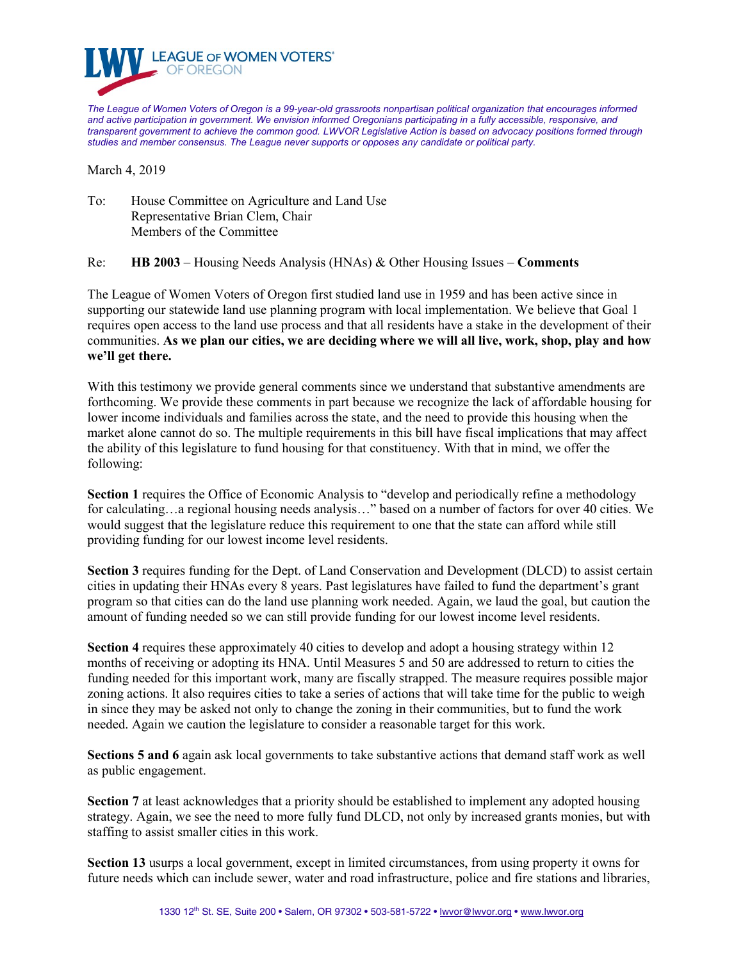

*The League of Women Voters of Oregon is a 99-year-old grassroots nonpartisan political organization that encourages informed and active participation in government. We envision informed Oregonians participating in a fully accessible, responsive, and transparent government to achieve the common good. LWVOR Legislative Action is based on advocacy positions formed through studies and member consensus. The League never supports or opposes any candidate or political party.*

March 4, 2019

To: House Committee on Agriculture and Land Use Representative Brian Clem, Chair Members of the Committee

Re: **HB 2003** – Housing Needs Analysis (HNAs) & Other Housing Issues – **Comments**

The League of Women Voters of Oregon first studied land use in 1959 and has been active since in supporting our statewide land use planning program with local implementation. We believe that Goal 1 requires open access to the land use process and that all residents have a stake in the development of their communities. **As we plan our cities, we are deciding where we will all live, work, shop, play and how we'll get there.** 

With this testimony we provide general comments since we understand that substantive amendments are forthcoming. We provide these comments in part because we recognize the lack of affordable housing for lower income individuals and families across the state, and the need to provide this housing when the market alone cannot do so. The multiple requirements in this bill have fiscal implications that may affect the ability of this legislature to fund housing for that constituency. With that in mind, we offer the following:

**Section 1** requires the Office of Economic Analysis to "develop and periodically refine a methodology for calculating…a regional housing needs analysis…" based on a number of factors for over 40 cities. We would suggest that the legislature reduce this requirement to one that the state can afford while still providing funding for our lowest income level residents.

**Section 3** requires funding for the Dept. of Land Conservation and Development (DLCD) to assist certain cities in updating their HNAs every 8 years. Past legislatures have failed to fund the department's grant program so that cities can do the land use planning work needed. Again, we laud the goal, but caution the amount of funding needed so we can still provide funding for our lowest income level residents.

**Section 4** requires these approximately 40 cities to develop and adopt a housing strategy within 12 months of receiving or adopting its HNA. Until Measures 5 and 50 are addressed to return to cities the funding needed for this important work, many are fiscally strapped. The measure requires possible major zoning actions. It also requires cities to take a series of actions that will take time for the public to weigh in since they may be asked not only to change the zoning in their communities, but to fund the work needed. Again we caution the legislature to consider a reasonable target for this work.

**Sections 5 and 6** again ask local governments to take substantive actions that demand staff work as well as public engagement.

**Section 7** at least acknowledges that a priority should be established to implement any adopted housing strategy. Again, we see the need to more fully fund DLCD, not only by increased grants monies, but with staffing to assist smaller cities in this work.

**Section 13** usurps a local government, except in limited circumstances, from using property it owns for future needs which can include sewer, water and road infrastructure, police and fire stations and libraries,